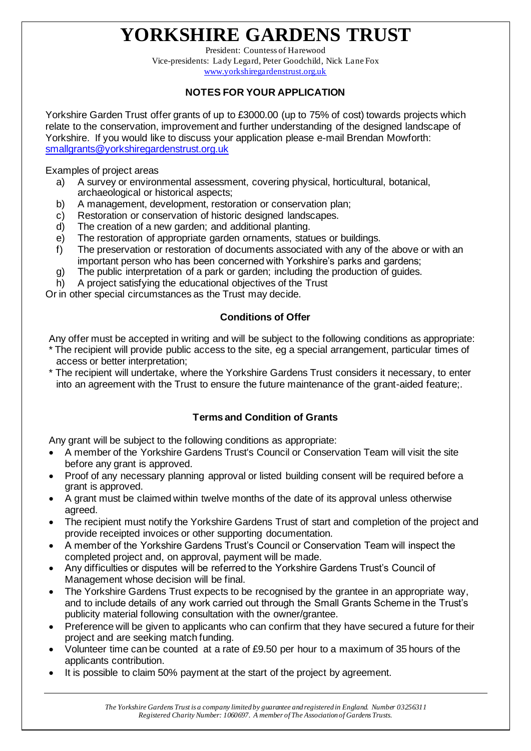# **YORKSHIRE GARDENS TRUST**

President: Countess of Harewood Vice-presidents: Lady Legard, Peter Goodchild, Nick Lane Fox [www.yorkshiregardenstrust.org.uk](http://www.yorkshiregardenstrust.org.uk/)

## **NOTES FOR YOUR APPLICATION**

Yorkshire Garden Trust offer grants of up to £3000.00 (up to 75% of cost) towards projects which relate to the conservation, improvement and further understanding of the designed landscape of Yorkshire. If you would like to discuss your application please e-mail Brendan Mowforth: [smallgrants@yorkshiregardenstrust.org.uk](mailto:smallgrants@yorkshiregardenstrust.org.uk)

Examples of project areas

- a) A survey or environmental assessment, covering physical, horticultural, botanical, archaeological or historical aspects;
- b) A management, development, restoration or conservation plan;
- c) Restoration or conservation of historic designed landscapes.
- d) The creation of a new garden; and additional planting.
- e) The restoration of appropriate garden ornaments, statues or buildings.
- f) The preservation or restoration of documents associated with any of the above or with an important person who has been concerned with Yorkshire's parks and gardens;
- g) The public interpretation of a park or garden; including the production of guides.
- h) A project satisfying the educational objectives of the Trust

Or in other special circumstances as the Trust may decide.

### **Conditions of Offer**

Any offer must be accepted in writing and will be subject to the following conditions as appropriate:

- The recipient will provide public access to the site, eg a special arrangement, particular times of access or better interpretation;
- The recipient will undertake, where the Yorkshire Gardens Trust considers it necessary, to enter into an agreement with the Trust to ensure the future maintenance of the grant-aided feature;.

### **Terms and Condition of Grants**

Any grant will be subject to the following conditions as appropriate:

- A member of the Yorkshire Gardens Trust's Council or Conservation Team will visit the site before any grant is approved.
- Proof of any necessary planning approval or listed building consent will be required before a grant is approved.
- A grant must be claimed within twelve months of the date of its approval unless otherwise agreed.
- The recipient must notify the Yorkshire Gardens Trust of start and completion of the project and provide receipted invoices or other supporting documentation.
- A member of the Yorkshire Gardens Trust's Council or Conservation Team will inspect the completed project and, on approval, payment will be made.
- Any difficulties or disputes will be referred to the Yorkshire Gardens Trust's Council of Management whose decision will be final.
- The Yorkshire Gardens Trust expects to be recognised by the grantee in an appropriate way, and to include details of any work carried out through the Small Grants Scheme in the Trust's publicity material following consultation with the owner/grantee.
- Preference will be given to applicants who can confirm that they have secured a future for their project and are seeking match funding.
- Volunteer time can be counted at a rate of £9.50 per hour to a maximum of 35 hours of the applicants contribution.
- It is possible to claim 50% payment at the start of the project by agreement.